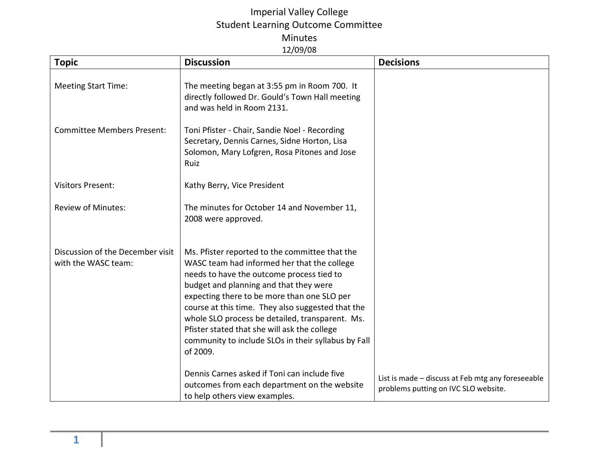## Imperial Valley College Student Learning Outcome Committee Minutes 12/09/08

| <b>Topic</b>                                            | <b>Discussion</b>                                                                                                                                                                                                                                                                                                                                                                                                                                              | <b>Decisions</b>                                                                          |
|---------------------------------------------------------|----------------------------------------------------------------------------------------------------------------------------------------------------------------------------------------------------------------------------------------------------------------------------------------------------------------------------------------------------------------------------------------------------------------------------------------------------------------|-------------------------------------------------------------------------------------------|
| <b>Meeting Start Time:</b>                              | The meeting began at 3:55 pm in Room 700. It<br>directly followed Dr. Gould's Town Hall meeting<br>and was held in Room 2131.                                                                                                                                                                                                                                                                                                                                  |                                                                                           |
| <b>Committee Members Present:</b>                       | Toni Pfister - Chair, Sandie Noel - Recording<br>Secretary, Dennis Carnes, Sidne Horton, Lisa<br>Solomon, Mary Lofgren, Rosa Pitones and Jose<br>Ruiz                                                                                                                                                                                                                                                                                                          |                                                                                           |
| <b>Visitors Present:</b>                                | Kathy Berry, Vice President                                                                                                                                                                                                                                                                                                                                                                                                                                    |                                                                                           |
| <b>Review of Minutes:</b>                               | The minutes for October 14 and November 11,<br>2008 were approved.                                                                                                                                                                                                                                                                                                                                                                                             |                                                                                           |
| Discussion of the December visit<br>with the WASC team: | Ms. Pfister reported to the committee that the<br>WASC team had informed her that the college<br>needs to have the outcome process tied to<br>budget and planning and that they were<br>expecting there to be more than one SLO per<br>course at this time. They also suggested that the<br>whole SLO process be detailed, transparent. Ms.<br>Pfister stated that she will ask the college<br>community to include SLOs in their syllabus by Fall<br>of 2009. |                                                                                           |
|                                                         | Dennis Carnes asked if Toni can include five<br>outcomes from each department on the website<br>to help others view examples.                                                                                                                                                                                                                                                                                                                                  | List is made - discuss at Feb mtg any foreseeable<br>problems putting on IVC SLO website. |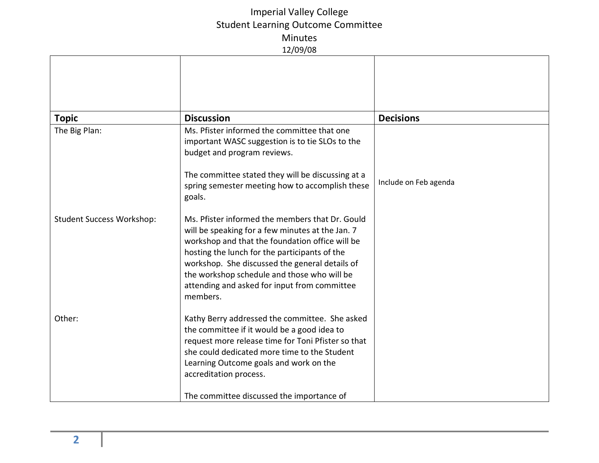## Imperial Valley College Student Learning Outcome Committee Minutes 12/09/08

| <b>Topic</b>                     | <b>Discussion</b>                                                                                                                                                                                                                                                                                                                                                    | <b>Decisions</b>      |  |
|----------------------------------|----------------------------------------------------------------------------------------------------------------------------------------------------------------------------------------------------------------------------------------------------------------------------------------------------------------------------------------------------------------------|-----------------------|--|
| The Big Plan:                    | Ms. Pfister informed the committee that one<br>important WASC suggestion is to tie SLOs to the<br>budget and program reviews.                                                                                                                                                                                                                                        |                       |  |
|                                  | The committee stated they will be discussing at a<br>spring semester meeting how to accomplish these<br>goals.                                                                                                                                                                                                                                                       | Include on Feb agenda |  |
| <b>Student Success Workshop:</b> | Ms. Pfister informed the members that Dr. Gould<br>will be speaking for a few minutes at the Jan. 7<br>workshop and that the foundation office will be<br>hosting the lunch for the participants of the<br>workshop. She discussed the general details of<br>the workshop schedule and those who will be<br>attending and asked for input from committee<br>members. |                       |  |
| Other:                           | Kathy Berry addressed the committee. She asked<br>the committee if it would be a good idea to<br>request more release time for Toni Pfister so that<br>she could dedicated more time to the Student<br>Learning Outcome goals and work on the<br>accreditation process.<br>The committee discussed the importance of                                                 |                       |  |